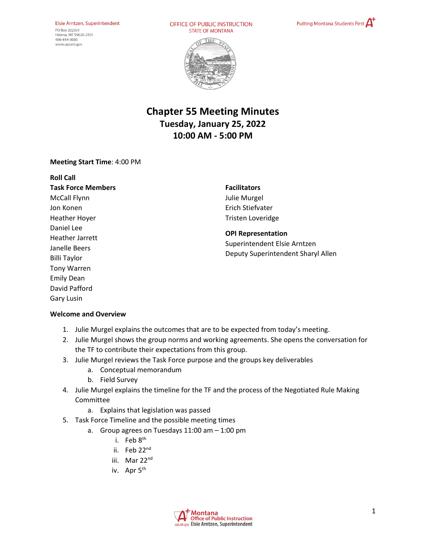#### Elsie Arntzen, Superintendent PO Box 202501 Helena, MT 59620-2501 406-444-3680 www.opi.mt.gov

OFFICE OF PUBLIC INSTRUCTION **STATE OF MONTANA** 





# **Chapter 55 Meeting Minutes Tuesday, January 25, 2022 10:00 AM - 5:00 PM**

# **Meeting Start Time**: 4:00 PM

**Roll Call Task Force Members** McCall Flynn Jon Konen Heather Hoyer Daniel Lee Heather Jarrett Janelle Beers Billi Taylor Tony Warren Emily Dean David Pafford Gary Lusin

**Facilitators**  Julie Murgel Erich Stiefvater Tristen Loveridge

**OPI Representation**  Superintendent Elsie Arntzen Deputy Superintendent Sharyl Allen

## **Welcome and Overview**

- 1. Julie Murgel explains the outcomes that are to be expected from today's meeting.
- 2. Julie Murgel shows the group norms and working agreements. She opens the conversation for the TF to contribute their expectations from this group.
- 3. Julie Murgel reviews the Task Force purpose and the groups key deliverables
	- a. Conceptual memorandum
	- b. Field Survey
- 4. Julie Murgel explains the timeline for the TF and the process of the Negotiated Rule Making Committee
	- a. Explains that legislation was passed
- 5. Task Force Timeline and the possible meeting times
	- a. Group agrees on Tuesdays 11:00 am 1:00 pm
		- i. Feb  $8<sup>th</sup>$
		- ii. Feb 22<sup>nd</sup>
		- iii. Mar 22<sup>nd</sup>
		- iv. Apr 5<sup>th</sup>

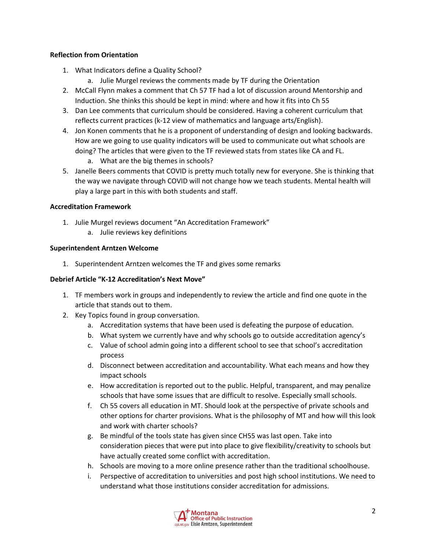# **Reflection from Orientation**

- 1. What Indicators define a Quality School?
	- a. Julie Murgel reviews the comments made by TF during the Orientation
- 2. McCall Flynn makes a comment that Ch 57 TF had a lot of discussion around Mentorship and Induction. She thinks this should be kept in mind: where and how it fits into Ch 55
- 3. Dan Lee comments that curriculum should be considered. Having a coherent curriculum that reflects current practices (k-12 view of mathematics and language arts/English).
- 4. Jon Konen comments that he is a proponent of understanding of design and looking backwards. How are we going to use quality indicators will be used to communicate out what schools are doing? The articles that were given to the TF reviewed stats from states like CA and FL.
	- a. What are the big themes in schools?
- 5. Janelle Beers comments that COVID is pretty much totally new for everyone. She is thinking that the way we navigate through COVID will not change how we teach students. Mental health will play a large part in this with both students and staff.

# **Accreditation Framework**

- 1. Julie Murgel reviews document "An Accreditation Framework"
	- a. Julie reviews key definitions

# **Superintendent Arntzen Welcome**

1. Superintendent Arntzen welcomes the TF and gives some remarks

# **Debrief Article "K-12 Accreditation's Next Move"**

- 1. TF members work in groups and independently to review the article and find one quote in the article that stands out to them.
- 2. Key Topics found in group conversation.
	- a. Accreditation systems that have been used is defeating the purpose of education.
	- b. What system we currently have and why schools go to outside accreditation agency's
	- c. Value of school admin going into a different school to see that school's accreditation process
	- d. Disconnect between accreditation and accountability. What each means and how they impact schools
	- e. How accreditation is reported out to the public. Helpful, transparent, and may penalize schools that have some issues that are difficult to resolve. Especially small schools.
	- f. Ch 55 covers all education in MT. Should look at the perspective of private schools and other options for charter provisions. What is the philosophy of MT and how will this look and work with charter schools?
	- g. Be mindful of the tools state has given since CH55 was last open. Take into consideration pieces that were put into place to give flexibility/creativity to schools but have actually created some conflict with accreditation.
	- h. Schools are moving to a more online presence rather than the traditional schoolhouse.
	- i. Perspective of accreditation to universities and post high school institutions. We need to understand what those institutions consider accreditation for admissions.

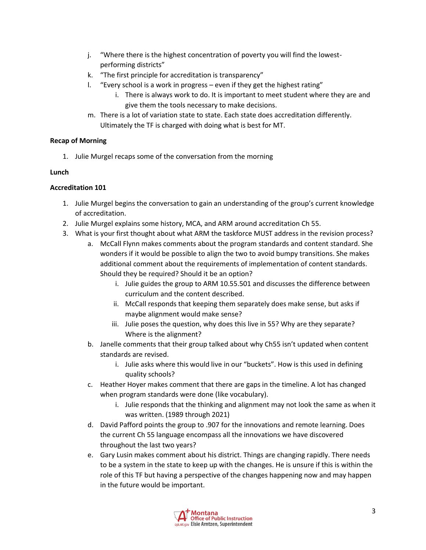- j. "Where there is the highest concentration of poverty you will find the lowestperforming districts"
- k. "The first principle for accreditation is transparency"
- l. "Every school is a work in progress even if they get the highest rating"
	- i. There is always work to do. It is important to meet student where they are and give them the tools necessary to make decisions.
- m. There is a lot of variation state to state. Each state does accreditation differently. Ultimately the TF is charged with doing what is best for MT.

# **Recap of Morning**

1. Julie Murgel recaps some of the conversation from the morning

# **Lunch**

# **Accreditation 101**

- 1. Julie Murgel begins the conversation to gain an understanding of the group's current knowledge of accreditation.
- 2. Julie Murgel explains some history, MCA, and ARM around accreditation Ch 55.
- 3. What is your first thought about what ARM the taskforce MUST address in the revision process?
	- a. McCall Flynn makes comments about the program standards and content standard. She wonders if it would be possible to align the two to avoid bumpy transitions. She makes additional comment about the requirements of implementation of content standards. Should they be required? Should it be an option?
		- i. Julie guides the group to ARM 10.55.501 and discusses the difference between curriculum and the content described.
		- ii. McCall responds that keeping them separately does make sense, but asks if maybe alignment would make sense?
		- iii. Julie poses the question, why does this live in 55? Why are they separate? Where is the alignment?
	- b. Janelle comments that their group talked about why Ch55 isn't updated when content standards are revised.
		- i. Julie asks where this would live in our "buckets". How is this used in defining quality schools?
	- c. Heather Hoyer makes comment that there are gaps in the timeline. A lot has changed when program standards were done (like vocabulary).
		- i. Julie responds that the thinking and alignment may not look the same as when it was written. (1989 through 2021)
	- d. David Pafford points the group to .907 for the innovations and remote learning. Does the current Ch 55 language encompass all the innovations we have discovered throughout the last two years?
	- e. Gary Lusin makes comment about his district. Things are changing rapidly. There needs to be a system in the state to keep up with the changes. He is unsure if this is within the role of this TF but having a perspective of the changes happening now and may happen in the future would be important.

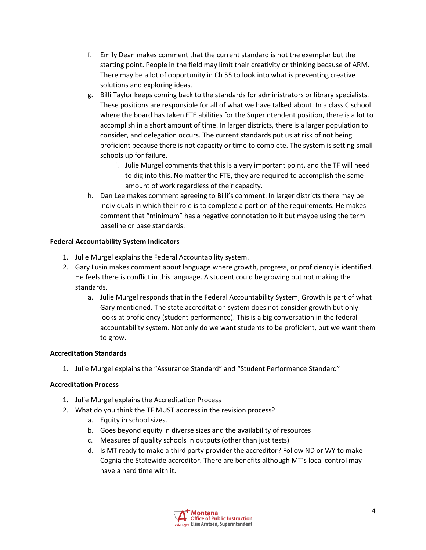- f. Emily Dean makes comment that the current standard is not the exemplar but the starting point. People in the field may limit their creativity or thinking because of ARM. There may be a lot of opportunity in Ch 55 to look into what is preventing creative solutions and exploring ideas.
- g. Billi Taylor keeps coming back to the standards for administrators or library specialists. These positions are responsible for all of what we have talked about. In a class C school where the board has taken FTE abilities for the Superintendent position, there is a lot to accomplish in a short amount of time. In larger districts, there is a larger population to consider, and delegation occurs. The current standards put us at risk of not being proficient because there is not capacity or time to complete. The system is setting small schools up for failure.
	- i. Julie Murgel comments that this is a very important point, and the TF will need to dig into this. No matter the FTE, they are required to accomplish the same amount of work regardless of their capacity.
- h. Dan Lee makes comment agreeing to Billi's comment. In larger districts there may be individuals in which their role is to complete a portion of the requirements. He makes comment that "minimum" has a negative connotation to it but maybe using the term baseline or base standards.

# **Federal Accountability System Indicators**

- 1. Julie Murgel explains the Federal Accountability system.
- 2. Gary Lusin makes comment about language where growth, progress, or proficiency is identified. He feels there is conflict in this language. A student could be growing but not making the standards.
	- a. Julie Murgel responds that in the Federal Accountability System, Growth is part of what Gary mentioned. The state accreditation system does not consider growth but only looks at proficiency (student performance). This is a big conversation in the federal accountability system. Not only do we want students to be proficient, but we want them to grow.

# **Accreditation Standards**

1. Julie Murgel explains the "Assurance Standard" and "Student Performance Standard"

# **Accreditation Process**

- 1. Julie Murgel explains the Accreditation Process
- 2. What do you think the TF MUST address in the revision process?
	- a. Equity in school sizes.
	- b. Goes beyond equity in diverse sizes and the availability of resources
	- c. Measures of quality schools in outputs (other than just tests)
	- d. Is MT ready to make a third party provider the accreditor? Follow ND or WY to make Cognia the Statewide accreditor. There are benefits although MT's local control may have a hard time with it.

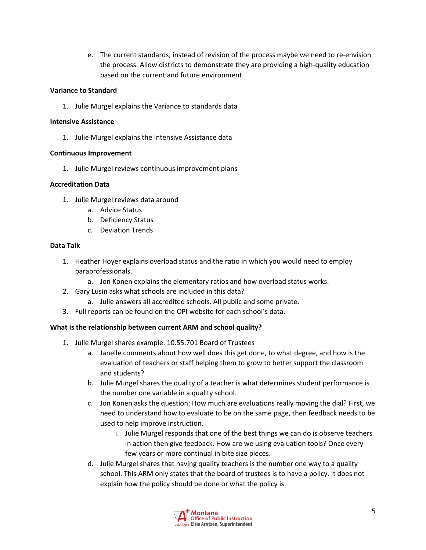e. The current standards, instead of revision of the process maybe we need to re-envision the process. Allow districts to demonstrate they are providing a high-quality education based on the current and future environment.

## **Variance to Standard**

1. Julie Murgel explains the Variance to standards data

# **Intensive Assistance**

1. Julie Murgel explains the Intensive Assistance data

# **Continuous Improvement**

1. Julie Murgel reviews continuous improvement plans

# **Accreditation Data**

- 1. Julie Murgel reviews data around
	- a. Advice Status
	- b. Deficiency Status
	- c. Deviation Trends

# **Data Talk**

- 1. Heather Hoyer explains overload status and the ratio in which you would need to employ paraprofessionals.
	- a. Jon Konen explains the elementary ratios and how overload status works.
- 2. Gary Lusin asks what schools are included in this data?
	- a. Julie answers all accredited schools. All public and some private.
- 3. Full reports can be found on the OPI website for each school's data.

# **What is the relationship between current ARM and school quality?**

- 1. Julie Murgel shares example. 10.55.701 Board of Trustees
	- a. Janelle comments about how well does this get done, to what degree, and how is the evaluation of teachers or staff helping them to grow to better support the classroom and students?
	- b. Julie Murgel shares the quality of a teacher is what determines student performance is the number one variable in a quality school.
	- c. Jon Konen asks the question: How much are evaluations really moving the dial? First, we need to understand how to evaluate to be on the same page, then feedback needs to be used to help improve instruction.
		- i. Julie Murgel responds that one of the best things we can do is observe teachers in action then give feedback. How are we using evaluation tools? Once every few years or more continual in bite size pieces.
	- d. Julie Murgel shares that having quality teachers is the number one way to a quality school. This ARM only states that the board of trustees is to have a policy. It does not explain how the policy should be done or what the policy is.

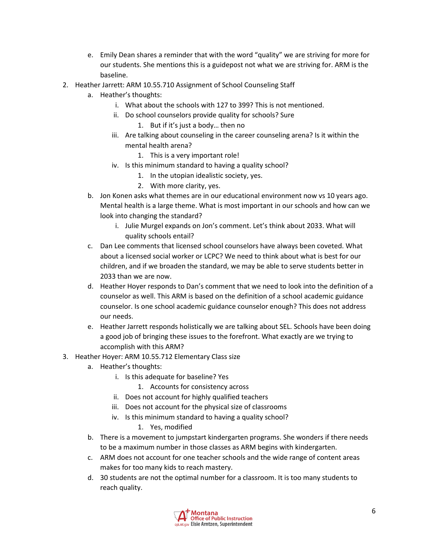- e. Emily Dean shares a reminder that with the word "quality" we are striving for more for our students. She mentions this is a guidepost not what we are striving for. ARM is the baseline.
- 2. Heather Jarrett: ARM 10.55.710 Assignment of School Counseling Staff
	- a. Heather's thoughts:
		- i. What about the schools with 127 to 399? This is not mentioned.
		- ii. Do school counselors provide quality for schools? Sure
			- 1. But if it's just a body… then no
		- iii. Are talking about counseling in the career counseling arena? Is it within the mental health arena?
			- 1. This is a very important role!
		- iv. Is this minimum standard to having a quality school?
			- 1. In the utopian idealistic society, yes.
			- 2. With more clarity, yes.
	- b. Jon Konen asks what themes are in our educational environment now vs 10 years ago. Mental health is a large theme. What is most important in our schools and how can we look into changing the standard?
		- i. Julie Murgel expands on Jon's comment. Let's think about 2033. What will quality schools entail?
	- c. Dan Lee comments that licensed school counselors have always been coveted. What about a licensed social worker or LCPC? We need to think about what is best for our children, and if we broaden the standard, we may be able to serve students better in 2033 than we are now.
	- d. Heather Hoyer responds to Dan's comment that we need to look into the definition of a counselor as well. This ARM is based on the definition of a school academic guidance counselor. Is one school academic guidance counselor enough? This does not address our needs.
	- e. Heather Jarrett responds holistically we are talking about SEL. Schools have been doing a good job of bringing these issues to the forefront. What exactly are we trying to accomplish with this ARM?
- 3. Heather Hoyer: ARM 10.55.712 Elementary Class size
	- a. Heather's thoughts:
		- i. Is this adequate for baseline? Yes
			- 1. Accounts for consistency across
		- ii. Does not account for highly qualified teachers
		- iii. Does not account for the physical size of classrooms
		- iv. Is this minimum standard to having a quality school?
			- 1. Yes, modified
	- b. There is a movement to jumpstart kindergarten programs. She wonders if there needs to be a maximum number in those classes as ARM begins with kindergarten.
	- c. ARM does not account for one teacher schools and the wide range of content areas makes for too many kids to reach mastery.
	- d. 30 students are not the optimal number for a classroom. It is too many students to reach quality.

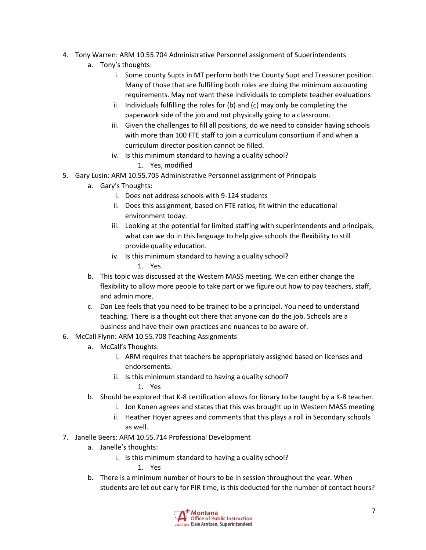- 4. Tony Warren: ARM 10.55.704 Administrative Personnel assignment of Superintendents
	- a. Tony's thoughts:
		- i. Some county Supts in MT perform both the County Supt and Treasurer position. Many of those that are fulfilling both roles are doing the minimum accounting requirements. May not want these individuals to complete teacher evaluations
		- ii. Individuals fulfilling the roles for (b) and (c) may only be completing the paperwork side of the job and not physically going to a classroom.
		- iii. Given the challenges to fill all positions, do we need to consider having schools with more than 100 FTE staff to join a curriculum consortium if and when a curriculum director position cannot be filled.
		- iv. Is this minimum standard to having a quality school?
			- 1. Yes, modified
- 5. Gary Lusin: ARM 10.55.705 Administrative Personnel assignment of Principals
	- a. Gary's Thoughts:
		- i. Does not address schools with 9-124 students
		- ii. Does this assignment, based on FTE ratios, fit within the educational environment today.
		- iii. Looking at the potential for limited staffing with superintendents and principals, what can we do in this language to help give schools the flexibility to still provide quality education.
		- iv. Is this minimum standard to having a quality school?
			- 1. Yes
	- b. This topic was discussed at the Western MASS meeting. We can either change the flexibility to allow more people to take part or we figure out how to pay teachers, staff, and admin more.
	- c. Dan Lee feels that you need to be trained to be a principal. You need to understand teaching. There is a thought out there that anyone can do the job. Schools are a business and have their own practices and nuances to be aware of.
- 6. McCall Flynn: ARM 10.55.708 Teaching Assignments
	- a. McCall's Thoughts:
		- i. ARM requires that teachers be appropriately assigned based on licenses and endorsements.
		- ii. Is this minimum standard to having a quality school?
			- 1. Yes
	- b. Should be explored that K-8 certification allows for library to be taught by a K-8 teacher.
		- i. Jon Konen agrees and states that this was brought up in Western MASS meeting
		- ii. Heather Hoyer agrees and comments that this plays a roll in Secondary schools as well.
- 7. Janelle Beers: ARM 10.55.714 Professional Development
	- a. Janelle's thoughts:
		- i. Is this minimum standard to having a quality school?
			- 1. Yes
	- b. There is a minimum number of hours to be in session throughout the year. When students are let out early for PIR time, is this deducted for the number of contact hours?